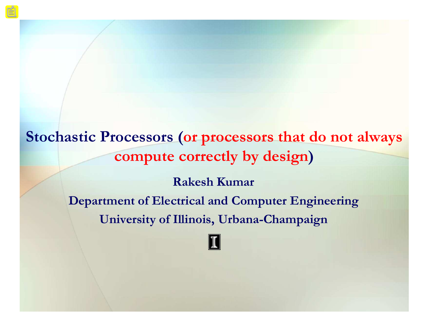**Stochastic Processors (or processors that do not always compute correctly by design)**

> **Rakesh Kumar Department of Electrical and Computer Engineering University of Illinois, Urbana-Champaign**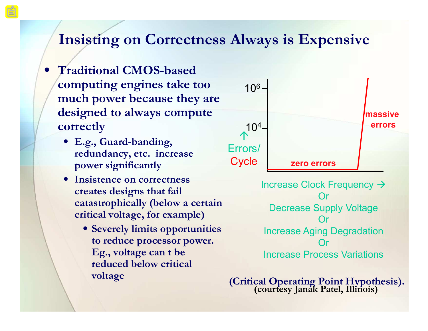### **Insisting on Correctness Always is Expensive**

- **Traditional CMOS-based computing engines take too much power because they are designed to always compute correctly**
	- **E.g., Guard-banding, redundancy, etc. increase power significantly**
	- **Insistence on correctness creates designs that fail catastrophically (below a certain critical voltage, for example)**
		- **Severely limits opportunities to reduce processor power.**  Eg., voltage can t be **reduced below critical voltage**



Increase Clock Frequency  $\rightarrow$ Or Decrease Supply Voltage Or Increase Aging Degradation Or Increase Process Variations

**(Critical Operating Point Hypothesis). (courtesy Janak Patel, Illinois)**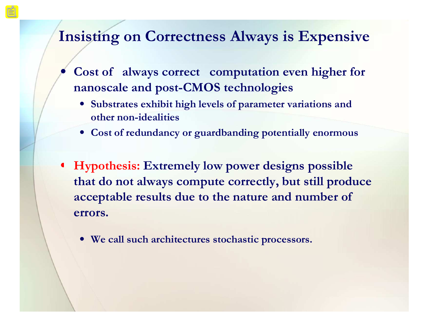### **Insisting on Correctness Always is Expensive**

- **Cost of always correct computation even higher for nanoscale and post-CMOS technologies**
	- **Substrates exhibit high levels of parameter variations and other non-idealities**
	- **Cost of redundancy or guardbanding potentially enormous**
- **Hypothesis: Extremely low power designs possible that do not always compute correctly, but still produce acceptable results due to the nature and number of errors.** 
	- **We call such architectures stochastic processors.**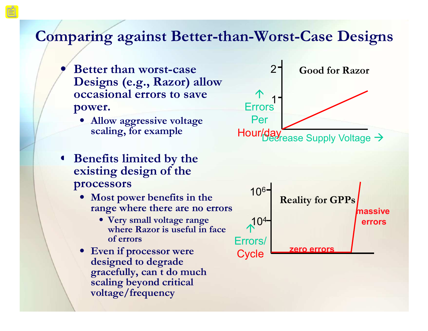### **Comparing against Better-than-Worst-Case Designs**

- **Better than worst-case Designs (e.g., Razor) allow occasional errors to save power.**
	- **Allow aggressive voltage scaling, for example**
- **Benefits limited by the existing design of the processors**
	- **Most power benefits in the range where there are no errors**
		- **Very small voltage range where Razor is useful in face of errors**
	- **Even if processor were designed to degrade**  gracefully, can t do much **scaling beyond critical voltage/frequency**



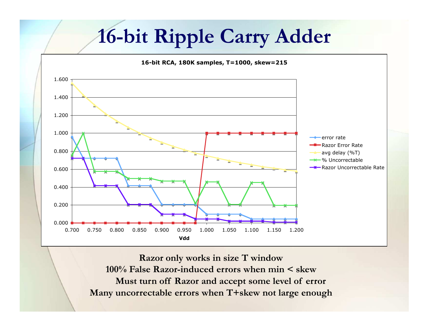# **16-bit Ripple Carry Adder**



**Razor only works in size T window 100% False Razor-induced errors when min < skew Must turn off Razor and accept some level of error Many uncorrectable errors when T+skew not large enough**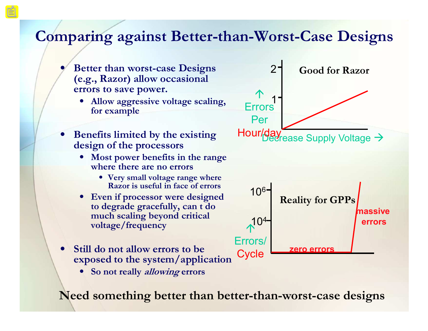## **Comparing against Better-than-Worst-Case Designs**

- **Better than worst-case Designs (e.g., Razor) allow occasional errors to save power.**
	- **Allow aggressive voltage scaling, for example**
- **Benefits limited by the existing design of the processors**
	- **Most power benefits in the range where there are no errors**
		- **Very small voltage range where Razor is useful in face of errors**
	- **Even if processor were designed to degrade gracefully, cant do much scaling beyond critical voltage/frequency**
- **Still do not allow errors to be exposed to the system/application**
	- **So not really allowing errors**

**Need something better than better-than-worst-case designs**

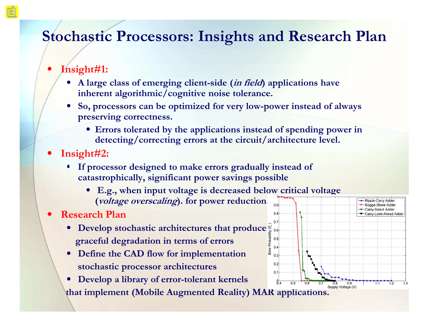## **Stochastic Processors: Insights and Research Plan**

#### • **Insight#1:**

- **A large class of emerging client-side (in field) applications have inherent algorithmic/cognitive noise tolerance.**
- **So, processors can be optimized for very low-power instead of always preserving correctness.**
	- **Errors tolerated by the applications instead of spending power in detecting/correcting errors at the circuit/architecture level.**
- **Insight#2:**
	- **If processor designed to make errors gradually instead of catastrophically, significant power savings possible**
		- **E.g., when input voltage is decreased below critical voltage (voltage overscaling). for power reduction.**

#### • **Research Plan**

- **Develop stochastic architectures that produce graceful degradation in terms of errors**
- **Define the CAD flow for implementation stochastic processor architectures**
- **Develop a library of error-tolerant kernels**   $0.5$  $0.6$  $0.7$ that implement (Mobile Augmented Reality) MAR applications.

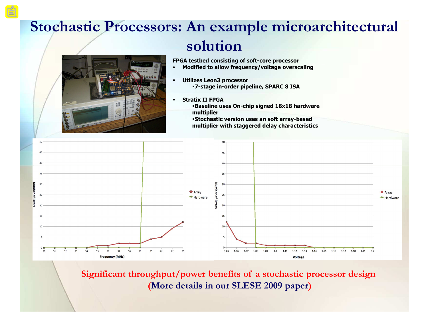## **Stochastic Processors: An example microarchitectural solution**



**FPGA testbed consisting of soft-core processor**

- **Modified to allow frequency/voltage overscaling**
- § **Utilizes Leon3 processor** §**7-stage in-order pipeline, SPARC 8 ISA**
- § **Stratix II FPGA**
	- §**Baseline uses On-chip signed 18x18 hardware multiplier**

§**Stochastic version uses an soft array-based multiplier with staggered delay characteristics**



**Significant throughput/power benefits of a stochastic processor design (More details in our SLESE 2009 paper)**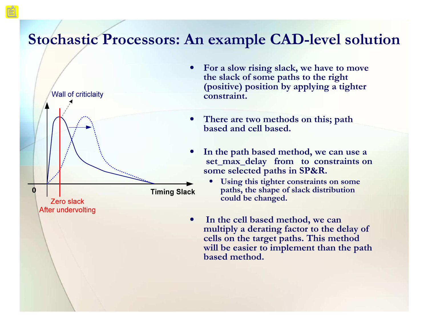### **Stochastic Processors: An example CAD-level solution**



- **For a slow rising slack, we have to move the slack of some paths to the right (positive) position by applying a tighter constraint.**
- **There are two methods on this; path based and cell based.**
- **In the path based method, we can use a set\_max\_delay from to constraints on some selected paths in SP&R.** 
	- **Using this tighter constraints on some paths, the shape of slack distribution could be changed.**
- **In the cell based method, we can multiply a derating factor to the delay of cells on the target paths. This method will be easier to implement than the path based method.**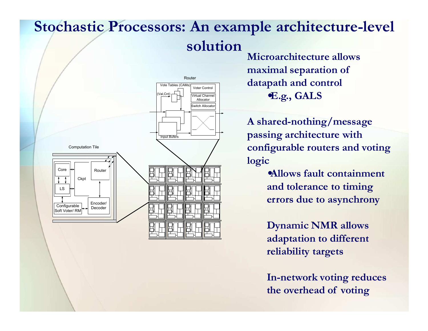# **Stochastic Processors: An example architecture-level solution**



**Microarchitecture allows maximal separation of datapath and control** •**E.g., GALS**

**A shared-nothing/message passing architecture with configurable routers and voting logic**

> •**Allows fault containment and tolerance to timing errors due to asynchrony**

**Dynamic NMR allows adaptation to different reliability targets**

**In-network voting reduces the overhead of voting**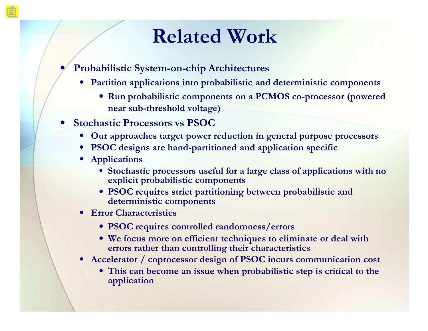# **Related Work**

- **Probabilistic System-on-chip Architectures**
	- **Partition applications into probabilistic and deterministic components**
		- **Run probabilistic components on a PCMOS co-processor (powered near sub-threshold voltage)**
- **Stochastic Processors vs PSOC**
	- **Our approaches target power reduction in general purpose processors**
	- **PSOC designs are hand-partitioned and application specific**
	- **Applications**
		- **Stochastic processors useful for a large class of applications with no explicit probabilistic components**
		- **PSOC requires strict partitioning between probabilistic and deterministic components**
	- **Error Characteristics**
		- **PSOC requires controlled randomness/errors**
		- **We focus more on efficient techniques to eliminate or deal with errors rather than controlling their characteristics**
	- **Accelerator / coprocessor design of PSOC incurs communication cost**
		- **This can become an issue when probabilistic step is critical to the application**